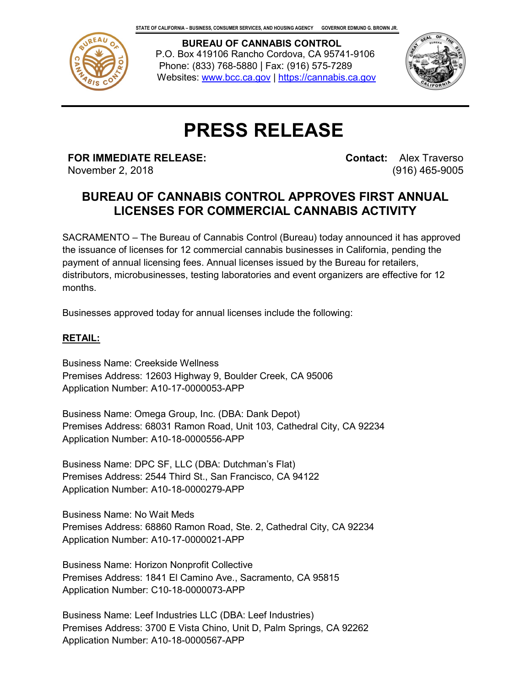

 **BUREAU OF CANNABIS CONTROL** P.O. Box 419106 Rancho Cordova, CA 95741-9106 Phone: (833) 768-5880 | Fax: (916) 575-7289 Websites: www.bcc.ca.gov | https://cannabis.ca.gov



# **PRESS RELEASE**

**FOR IMMEDIATE RELEASE:**

November 2, 2018

**Contact:** Alex Traverso (916) 465-9005

## **BUREAU OF CANNABIS CONTROL APPROVES FIRST ANNUAL LICENSES FOR COMMERCIAL CANNABIS ACTIVITY**

SACRAMENTO – The Bureau of Cannabis Control (Bureau) today announced it has approved the issuance of licenses for 12 commercial cannabis businesses in California, pending the payment of annual licensing fees. Annual licenses issued by the Bureau for retailers, distributors, microbusinesses, testing laboratories and event organizers are effective for 12 months.

Businesses approved today for annual licenses include the following:

### **RETAIL:**

Business Name: Creekside Wellness Premises Address: 12603 Highway 9, Boulder Creek, CA 95006 Application Number: A10-17-0000053-APP

Business Name: Omega Group, Inc. (DBA: Dank Depot) Premises Address: 68031 Ramon Road, Unit 103, Cathedral City, CA 92234 Application Number: A10-18-0000556-APP

Business Name: DPC SF, LLC (DBA: Dutchman's Flat) Premises Address: 2544 Third St., San Francisco, CA 94122 Application Number: A10-18-0000279-APP

Business Name: No Wait Meds Premises Address: 68860 Ramon Road, Ste. 2, Cathedral City, CA 92234 Application Number: A10-17-0000021-APP

Business Name: Horizon Nonprofit Collective Premises Address: 1841 El Camino Ave., Sacramento, CA 95815 Application Number: C10-18-0000073-APP

Business Name: Leef Industries LLC (DBA: Leef Industries) Premises Address: 3700 E Vista Chino, Unit D, Palm Springs, CA 92262 Application Number: A10-18-0000567-APP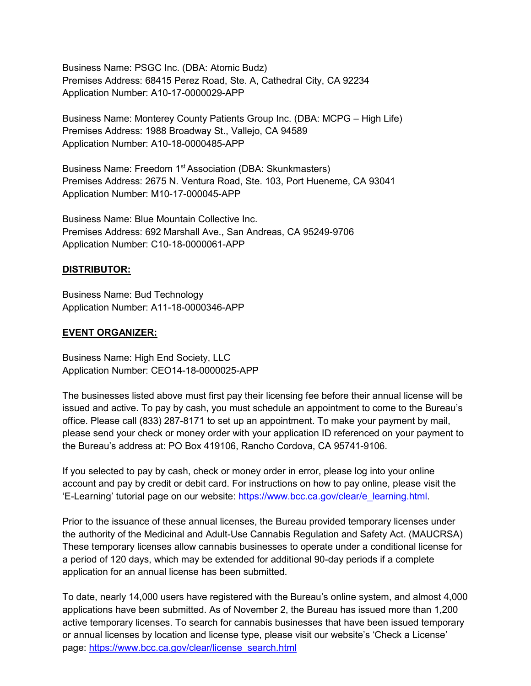Business Name: PSGC Inc. (DBA: Atomic Budz) Premises Address: 68415 Perez Road, Ste. A, Cathedral City, CA 92234 Application Number: A10-17-0000029-APP

Business Name: Monterey County Patients Group Inc. (DBA: MCPG – High Life) Premises Address: 1988 Broadway St., Vallejo, CA 94589 Application Number: A10-18-0000485-APP

Business Name: Freedom 1<sup>st</sup> Association (DBA: Skunkmasters) Premises Address: 2675 N. Ventura Road, Ste. 103, Port Hueneme, CA 93041 Application Number: M10-17-000045-APP

Business Name: Blue Mountain Collective Inc. Premises Address: 692 Marshall Ave., San Andreas, CA 95249-9706 Application Number: C10-18-0000061-APP

#### **DISTRIBUTOR:**

Business Name: Bud Technology Application Number: A11-18-0000346-APP

#### **EVENT ORGANIZER:**

Business Name: High End Society, LLC Application Number: CEO14-18-0000025-APP

The businesses listed above must first pay their licensing fee before their annual license will be issued and active. To pay by cash, you must schedule an appointment to come to the Bureau's office. Please call (833) 287-8171 to set up an appointment. To make your payment by mail, please send your check or money order with your application ID referenced on your payment to the Bureau's address at: PO Box 419106, Rancho Cordova, CA 95741-9106.

If you selected to pay by cash, check or money order in error, please log into your online account and pay by credit or debit card. For instructions on how to pay online, please visit the 'E-Learning' tutorial page on our website: [https://www.bcc.ca.gov/clear/e\\_learning.html.](https://www.bcc.ca.gov/clear/e_learning.html)

Prior to the issuance of these annual licenses, the Bureau provided temporary licenses under the authority of the Medicinal and Adult-Use Cannabis Regulation and Safety Act. (MAUCRSA) These temporary licenses allow cannabis businesses to operate under a conditional license for a period of 120 days, which may be extended for additional 90-day periods if a complete application for an annual license has been submitted.

To date, nearly 14,000 users have registered with the Bureau's online system, and almost 4,000 applications have been submitted. As of November 2, the Bureau has issued more than 1,200 active temporary licenses. To search for cannabis businesses that have been issued temporary or annual licenses by location and license type, please visit our website's 'Check a License' page: [https://www.bcc.ca.gov/clear/license\\_search.html](https://www.bcc.ca.gov/clear/license_search.html)